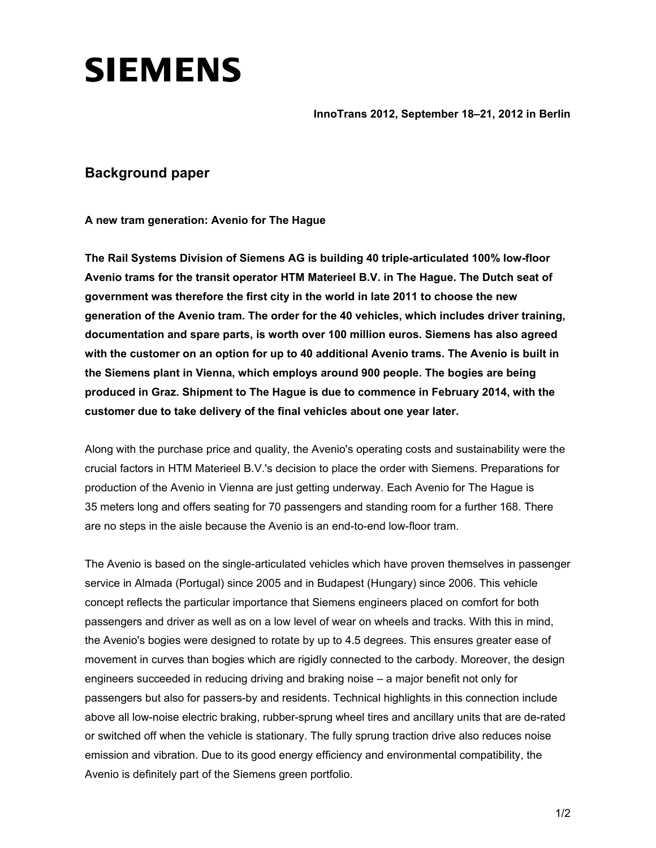## **SIEMENS**

**InnoTrans 2012, September 18–21, 2012 in Berlin** 

## **Background paper**

**A new tram generation: Avenio for The Hague** 

**The Rail Systems Division of Siemens AG is building 40 triple-articulated 100% low-floor Avenio trams for the transit operator HTM Materieel B.V. in The Hague. The Dutch seat of government was therefore the first city in the world in late 2011 to choose the new generation of the Avenio tram. The order for the 40 vehicles, which includes driver training, documentation and spare parts, is worth over 100 million euros. Siemens has also agreed with the customer on an option for up to 40 additional Avenio trams. The Avenio is built in the Siemens plant in Vienna, which employs around 900 people. The bogies are being produced in Graz. Shipment to The Hague is due to commence in February 2014, with the customer due to take delivery of the final vehicles about one year later.** 

Along with the purchase price and quality, the Avenio's operating costs and sustainability were the crucial factors in HTM Materieel B.V.'s decision to place the order with Siemens. Preparations for production of the Avenio in Vienna are just getting underway. Each Avenio for The Hague is 35 meters long and offers seating for 70 passengers and standing room for a further 168. There are no steps in the aisle because the Avenio is an end-to-end low-floor tram.

The Avenio is based on the single-articulated vehicles which have proven themselves in passenger service in Almada (Portugal) since 2005 and in Budapest (Hungary) since 2006. This vehicle concept reflects the particular importance that Siemens engineers placed on comfort for both passengers and driver as well as on a low level of wear on wheels and tracks. With this in mind, the Avenio's bogies were designed to rotate by up to 4.5 degrees. This ensures greater ease of movement in curves than bogies which are rigidly connected to the carbody. Moreover, the design engineers succeeded in reducing driving and braking noise – a major benefit not only for passengers but also for passers-by and residents. Technical highlights in this connection include above all low-noise electric braking, rubber-sprung wheel tires and ancillary units that are de-rated or switched off when the vehicle is stationary. The fully sprung traction drive also reduces noise emission and vibration. Due to its good energy efficiency and environmental compatibility, the Avenio is definitely part of the Siemens green portfolio.